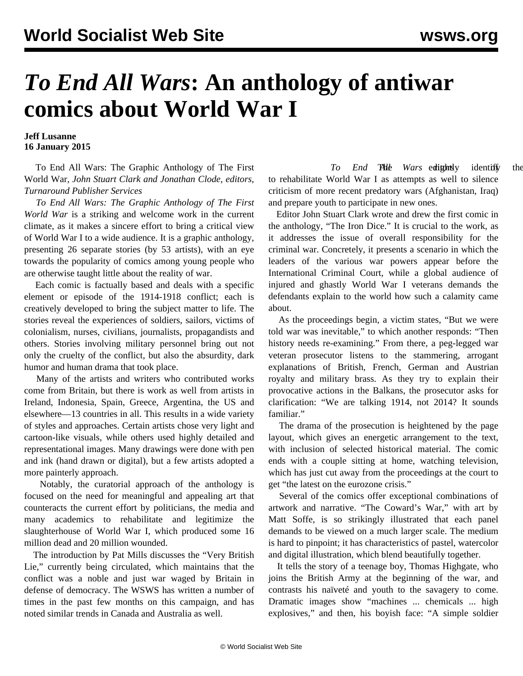## *To End All Wars***: An anthology of antiwar comics about World War I**

## **Jeff Lusanne 16 January 2015**

 To End All Wars: The Graphic Anthology of The First World War*, John Stuart Clark and Jonathan Clode, editors, Turnaround Publisher Services*

 *To End All Wars: The Graphic Anthology of The First World War* is a striking and welcome work in the current climate, as it makes a sincere effort to bring a critical view of World War I to a wide audience. It is a graphic anthology, presenting 26 separate stories (by 53 artists), with an eye towards the popularity of comics among young people who are otherwise taught little about the reality of war.

 Each comic is factually based and deals with a specific element or episode of the 1914-1918 conflict; each is creatively developed to bring the subject matter to life. The stories reveal the experiences of soldiers, sailors, victims of colonialism, nurses, civilians, journalists, propagandists and others. Stories involving military personnel bring out not only the cruelty of the conflict, but also the absurdity, dark humor and human drama that took place.

 Many of the artists and writers who contributed works come from Britain, but there is work as well from artists in Ireland, Indonesia, Spain, Greece, Argentina, the US and elsewhere—13 countries in all. This results in a wide variety of styles and approaches. Certain artists chose very light and cartoon-like visuals, while others used highly detailed and representational images. Many drawings were done with pen and ink (hand drawn or digital), but a few artists adopted a more painterly approach.

 Notably, the curatorial approach of the anthology is focused on the need for meaningful and appealing art that counteracts the current effort by politicians, the media and many academics to rehabilitate and legitimize the slaughterhouse of World War I, which produced some 16 million dead and 20 million wounded.

 The introduction by Pat Mills discusses the "Very British Lie," currently being circulated, which maintains that the conflict was a noble and just war waged by Britain in defense of democracy. The WSWS has written a number of times in the past few months on this campaign, and has noted similar trends in [Canada](/en/articles/2014/08/11/harp-a11.html) and [Australia](/en/articles/2014/08/07/pers-a07.html) as well.

To End Thile Wars editionally identify the to rehabilitate World War I as attempts as well to silence criticism of more recent predatory wars (Afghanistan, Iraq) and prepare youth to participate in new ones.

 Editor John Stuart Clark wrote and drew the first comic in the anthology, "The Iron Dice." It is crucial to the work, as it addresses the issue of overall responsibility for the criminal war. Concretely, it presents a scenario in which the leaders of the various war powers appear before the International Criminal Court, while a global audience of injured and ghastly World War I veterans demands the defendants explain to the world how such a calamity came about.

 As the proceedings begin, a victim states, "But we were told war was inevitable," to which another responds: "Then history needs re-examining." From there, a peg-legged war veteran prosecutor listens to the stammering, arrogant explanations of British, French, German and Austrian royalty and military brass. As they try to explain their provocative actions in the Balkans, the prosecutor asks for clarification: "We are talking 1914, not 2014? It sounds familiar."

 The drama of the prosecution is heightened by the page layout, which gives an energetic arrangement to the text, with inclusion of selected historical material. The comic ends with a couple sitting at home, watching television, which has just cut away from the proceedings at the court to get "the latest on the eurozone crisis."

 Several of the comics offer exceptional combinations of artwork and narrative. "The Coward's War," with art by Matt Soffe, is so strikingly illustrated that each panel demands to be viewed on a much larger scale. The medium is hard to pinpoint; it has characteristics of pastel, watercolor and digital illustration, which blend beautifully together.

 It tells the story of a teenage boy, Thomas Highgate, who joins the British Army at the beginning of the war, and contrasts his naïveté and youth to the savagery to come. Dramatic images show "machines ... chemicals ... high explosives," and then, his boyish face: "A simple soldier